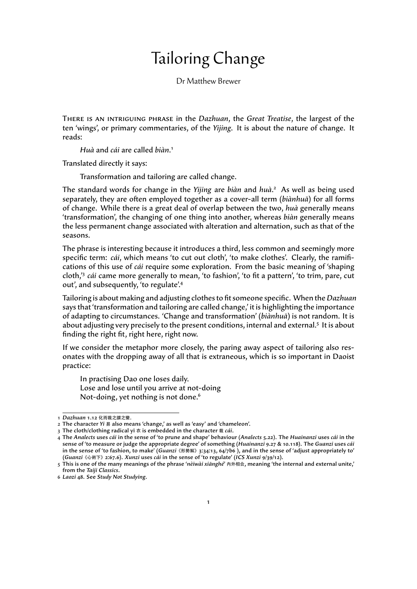## Tailoring Change

Dr Matthew Brewer

There is an intriguing phrase in the *Dazhuan*, the *Great Treatise*, the largest of the ten 'wings', or primary commentaries, of the *Yijing*. It is about the nature of change. It reads:

*Huà* and *cái* are called *biàn*. 1

Translated directly it says:

Transformation and tailoring are called change.

The standard words for change in the *Yijing* are *biàn* and *huà*. <sup>2</sup> As well as being used separately, they are often employed together as a cover-all term (*biànhuā*) for all forms of change. While there is a great deal of overlap between the two, *huà* generally means 'transformation', the changing of one thing into another, whereas *biàn* generally means the less permanent change associated with alteration and alternation, such as that of the seasons.

The phrase is interesting because it introduces a third, less common and seemingly more specific term: *cái*, which means 'to cut out cloth', 'to make clothes'. Clearly, the ramifications of this use of *cái* require some exploration. From the basic meaning of 'shaping cloth,'<sup>3</sup> *cái* came more generally to mean, 'to fashion', 'to fit a pattern', 'to trim, pare, cut out', and subsequently, 'to regulate'.<sup>4</sup>

Tailoring is about making and adjusting clothes to fit someone specific. When the *Dazhuan* says that 'transformation and tailoring are called change,' it is highlighting the importance of adapting to circumstances. 'Change and transformation' (*biànhuā*) is not random. It is about adjusting very precisely to the present conditions, internal and external.<sup>5</sup> It is about finding the right fit, right here, right now.

If we consider the metaphor more closely, the paring away aspect of tailoring also resonates with the dropping away of all that is extraneous, which is so important in Daoist practice:

In practising Dao one loses daily. Lose and lose until you arrive at not-doing Not-doing, yet nothing is not done.<sup>6</sup>

<sup>1</sup> *Dazhuan* 1.12 化而裁之謂之變。

<sup>2</sup> The character *Yi* 易 also means 'change,' as well as 'easy' and 'chameleon'.

<sup>3</sup> The cloth/clothing radical yī 衣 is embedded in the character 裁 *cái*.

<sup>4</sup> The *Analects* uses *cái* in the sense of 'to prune and shape' behaviour (*Analects* 5.22). The *Huainanzi* uses *cái* in the sense of 'to measure or judge the appropriate degree' of something (*Huainanzi* 9.27 & 10.118). The *Guanzi* uses *cái* in the sense of 'to fashion, to make' (*Guanzi*《形勢解》3:34:13, 64/7b6 ), and in the sense of 'adjust appropriately to' (*Guanzi*《心術下》2:67.6). *Xunzi* uses *cái* in the sense of 'to regulate' (*ICS Xunzi* 9/39/12).

<sup>5</sup> This is one of the many meanings of the phrase '*nèi wài xiāng hé*' 內外相合, meaning 'the internal and external unite,' from the *Taiji Classics*.

<sup>6</sup> *Laozi* 48. See *Study Not Studying*.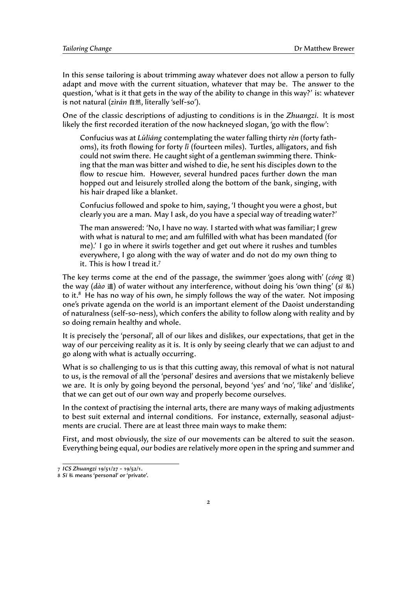In this sense tailoring is about trimming away whatever does not allow a person to fully adapt and move with the current situation, whatever that may be. The answer to the question, 'what is it that gets in the way of the ability to change in this way?' is: whatever is not natural (*zì rán* 自然, literally 'self-so').

One of the classic descriptions of adjusting to conditions is in the *Zhuangzi*. It is most likely the first recorded iteration of the now hackneyed slogan, 'go with the flow':

Confucius was at *Lǔliáng* contemplating the water falling thirty *rèn* (forty fathoms), its froth flowing for forty *li* (fourteen miles). Turtles, alligators, and fish could not swim there. He caught sight of a gentleman swimming there. Thinking that the man was bitter and wished to die, he sent his disciples down to the flow to rescue him. However, several hundred paces further down the man hopped out and leisurely strolled along the bottom of the bank, singing, with his hair draped like a blanket.

Confucius followed and spoke to him, saying, 'I thought you were a ghost, but clearly you are a man. May I ask, do you have a special way of treading water?'

The man answered: 'No, I have no way. I started with what was familiar; I grew with what is natural to me; and am fulfilled with what has been mandated (for me).' I go in where it swirls together and get out where it rushes and tumbles everywhere, I go along with the way of water and do not do my own thing to it. This is how I tread it.<sup>7</sup>

The key terms come at the end of the passage, the swimmer 'goes along with' (*cóng* 從) the way (*dào* 道) of water without any interference, without doing his 'own thing' (*sī* 私) to it. $8$  He has no way of his own, he simply follows the way of the water. Not imposing one's private agenda on the world is an important element of the Daoist understanding of naturalness (self-so-ness), which confers the ability to follow along with reality and by so doing remain healthy and whole.

It is precisely the 'personal', all of our likes and dislikes, our expectations, that get in the way of our perceiving reality as it is. It is only by seeing clearly that we can adjust to and go along with what is actually occurring.

What is so challenging to us is that this cutting away, this removal of what is not natural to us, is the removal of all the 'personal' desires and aversions that we mistakenly believe we are. It is only by going beyond the personal, beyond 'yes' and 'no', 'like' and 'dislike', that we can get out of our own way and properly become ourselves.

In the context of practising the internal arts, there are many ways of making adjustments to best suit external and internal conditions. For instance, externally, seasonal adjustments are crucial. There are at least three main ways to make them:

First, and most obviously, the size of our movements can be altered to suit the season. Everything being equal, our bodies are relatively more open in the spring and summer and

<sup>7</sup> *ICS Zhuangzi* 19/51/27 - 19/52/1.

<sup>8</sup> *Sī* 私 means 'personal' or 'private'.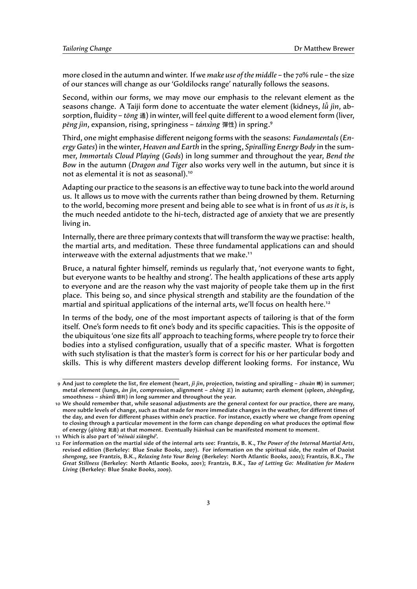more closed in the autumn and winter. If we *make use of the middle* – the 70% rule – the size of our stances will change as our 'Goldilocks range' naturally follows the seasons.

Second, within our forms, we may move our emphasis to the relevant element as the seasons change. A Taiji form done to accentuate the water element (kidneys, *lu<sup>i</sup> jin*, absorption, fluidity – *tōng* 通) in winter, will feel quite different to a wood element form (liver, *pēng jìn*, expansion, rising, springiness – *tánxìng* 彈性) in spring.<sup>9</sup>

Third, one might emphasise different neigong forms with the seasons: *Fundamentals* (*Energy Gates*) in the winter, *Heaven and Earth* in the spring, *Spiralling Energy Body* in the summer, *Immortals Cloud Playing* (*Gods*) in long summer and throughout the year, *Bend the Bow* in the autumn (*Dragon and Tiger* also works very well in the autumn, but since it is not as elemental it is not as seasonal).<sup>10</sup>

Adapting our practice to the seasons is an effective way to tune back into the world around us. It allows us to move with the currents rather than being drowned by them. Returning to the world, becoming more present and being able to see what is in front of us *as it is*, is the much needed antidote to the hi-tech, distracted age of anxiety that we are presently living in.

Internally, there are three primary contexts that will transform the way we practise: health, the martial arts, and meditation. These three fundamental applications can and should interweave with the external adjustments that we make.<sup>11</sup>

Bruce, a natural fighter himself, reminds us regularly that, 'not everyone wants to fight, but everyone wants to be healthy and strong'. The health applications of these arts apply to everyone and are the reason why the vast majority of people take them up in the first place. This being so, and since physical strength and stability are the foundation of the martial and spiritual applications of the internal arts, we'll focus on health here.<sup>12</sup>

In terms of the body, one of the most important aspects of tailoring is that of the form itself. One's form needs to fit one's body and its specific capacities. This is the opposite of the ubiquitous 'one size fits all' approach to teaching forms, where people try to force their bodies into a stylised configuration, usually that of a specific master. What is forgotten with such stylisation is that the master's form is correct for his or her particular body and skills. This is why different masters develop different looking forms. For instance, Wu

<sup>9</sup> And just to complete the list, fire element (heart, *jˇı jìn*, projection, twisting and spiralling – *zhuàn* 轉) in summer; metal element (lungs, *àn jìn*, compression, alignment – *zhèng* 正) in autumn; earth element (spleen, *zhōngdìng*, smoothness – *shùnlì* 順利) in long summer and throughout the year.

<sup>10</sup> We should remember that, while seasonal adjustments are the general context for our practice, there are many, more subtle levels of change, such as that made for more immediate changes in the weather, for different times of the day, and even for different phases within one's practice. For instance, exactly where we change from opening to closing through a particular movement in the form can change depending on what produces the optimal flow of energy (*qìtōng* 氣通) at that moment. Eventually *biànhuā* can be manifested moment to moment.

<sup>11</sup> Which is also part of 'nèiwài xiānghé'.

<sup>12</sup> For information on the martial side of the internal arts see: Frantzis, B. K., *The Power of the Internal Martial Arts*, revised edition (Berkeley: Blue Snake Books, 2007). For information on the spiritual side, the realm of Daoist *shengong*, see Frantzis, B.K., *Relaxing Into Your Being* (Berkeley: North Atlantic Books, 2002); Frantzis, B.K., *The Great Stillness* (Berkeley: North Atlantic Books, 2001); Frantzis, B.K., *Tao of Letting Go: Meditation for Modern Living* (Berkeley: Blue Snake Books, 2009).